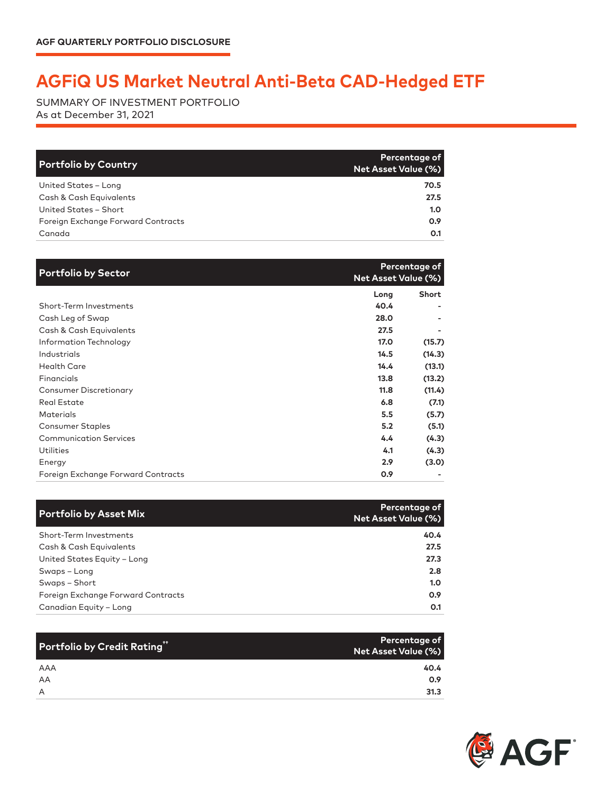## **AGFiQ US Market Neutral Anti-Beta CAD-Hedged ETF**

SUMMARY OF INVESTMENT PORTFOLIO As at December 31, 2021

| <b>Portfolio by Country</b>        | <b>Percentage of</b><br><b>Net Asset Value (%)</b> |
|------------------------------------|----------------------------------------------------|
| United States - Long               | 70.5                                               |
| Cash & Cash Equivalents            | 27.5                                               |
| United States - Short              | 1.0 <sub>1</sub>                                   |
| Foreign Exchange Forward Contracts | 0.9                                                |
| Canada                             | O.1                                                |

| <b>Portfolio by Sector</b>         |      | Percentage of<br><b>Net Asset Value (%)</b> |
|------------------------------------|------|---------------------------------------------|
|                                    | Long | Short                                       |
| Short-Term Investments             | 40.4 |                                             |
| Cash Leg of Swap                   | 28.0 |                                             |
| Cash & Cash Equivalents            | 27.5 |                                             |
| Information Technology             | 17.0 | (15.7)                                      |
| Industrials                        | 14.5 | (14.3)                                      |
| <b>Health Care</b>                 | 14.4 | (13.1)                                      |
| Financials                         | 13.8 | (13.2)                                      |
| <b>Consumer Discretionary</b>      | 11.8 | (11.4)                                      |
| <b>Real Estate</b>                 | 6.8  | (7.1)                                       |
| <b>Materials</b>                   | 5.5  | (5.7)                                       |
| <b>Consumer Staples</b>            | 5.2  | (5.1)                                       |
| <b>Communication Services</b>      | 4.4  | (4.3)                                       |
| Utilities                          | 4.1  | (4.3)                                       |
| Energy                             | 2.9  | (3.0)                                       |
| Foreign Exchange Forward Contracts | 0.9  |                                             |

| <b>Portfolio by Asset Mix</b>      | Percentage of<br>Net Asset Value (%) |
|------------------------------------|--------------------------------------|
| Short-Term Investments             | 40.4                                 |
| Cash & Cash Equivalents            | 27.5                                 |
| United States Equity - Long        | 27.3                                 |
| Swaps - Long                       | 2.8                                  |
| Swaps - Short                      | 1.0                                  |
| Foreign Exchange Forward Contracts | 0.9                                  |
| Canadian Equity - Long             | 0.1                                  |

| Portfolio by Credit Rating" | Percentage of<br>Net Asset Value (%) |
|-----------------------------|--------------------------------------|
| AAA                         | 40.4                                 |
| AA                          | 0.9                                  |
| A                           | 31.3                                 |